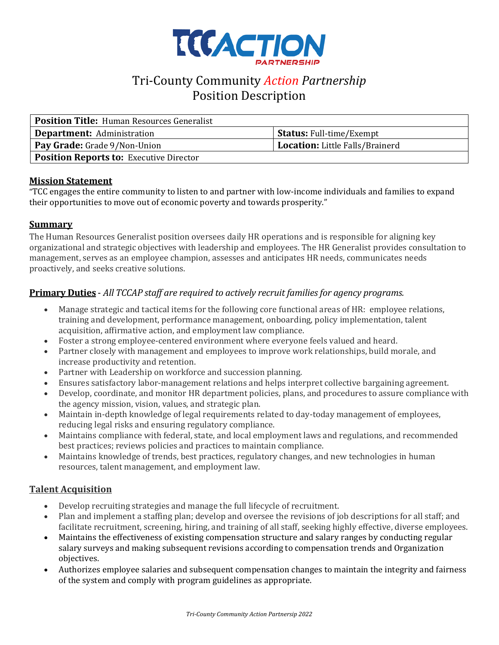

# Tri-County Community *Action Partnership* Position Description

| <b>Position Title: Human Resources Generalist</b> |                                 |
|---------------------------------------------------|---------------------------------|
| <b>Department:</b> Administration                 | <b>Status:</b> Full-time/Exempt |
| <b>Pay Grade:</b> Grade 9/Non-Union               | Location: Little Falls/Brainerd |
| <b>Position Reports to: Executive Director</b>    |                                 |

#### **Mission Statement**

"TCC engages the entire community to listen to and partner with low-income individuals and families to expand their opportunities to move out of economic poverty and towards prosperity."

#### **Summary**

The Human Resources Generalist position oversees daily HR operations and is responsible for aligning key organizational and strategic objectives with leadership and employees. The HR Generalist provides consultation to management, serves as an employee champion, assesses and anticipates HR needs, communicates needs proactively, and seeks creative solutions.

# **Primary Duties** - *All TCCAP staff are required to actively recruit familiesfor agency programs.*

- Manage strategic and tactical items for the following core functional areas of HR: employee relations, training and development, performance management, onboarding, policy implementation, talent acquisition, affirmative action, and employment law compliance.
- Foster a strong employee-centered environment where everyone feels valued and heard.
- Partner closely with management and employees to improve work relationships, build morale, and increase productivity and retention.
- Partner with Leadership on workforce and succession planning.
- Ensures satisfactory labor-management relations and helps interpret collective bargaining agreement.
- Develop, coordinate, and monitor HR department policies, plans, and procedures to assure compliance with the agency mission, vision, values, and strategic plan.
- Maintain in-depth knowledge of legal requirements related to day-today management of employees, reducing legal risks and ensuring regulatory compliance.
- Maintains compliance with federal, state, and local employment laws and regulations, and recommended best practices; reviews policies and practices to maintain compliance.
- Maintains knowledge of trends, best practices, regulatory changes, and new technologies in human resources, talent management, and employment law.

#### **Talent Acquisition**

- Develop recruiting strategies and manage the full lifecycle of recruitment.
- Plan and implement a staffing plan; develop and oversee the revisions of job descriptions for all staff; and facilitate recruitment, screening, hiring, and training of all staff, seeking highly effective, diverse employees.
- Maintains the effectiveness of existing compensation structure and salary ranges by conducting regular salary surveys and making subsequent revisions according to compensation trends and Organization objectives.
- Authorizes employee salaries and subsequent compensation changes to maintain the integrity and fairness of the system and comply with program guidelines as appropriate.